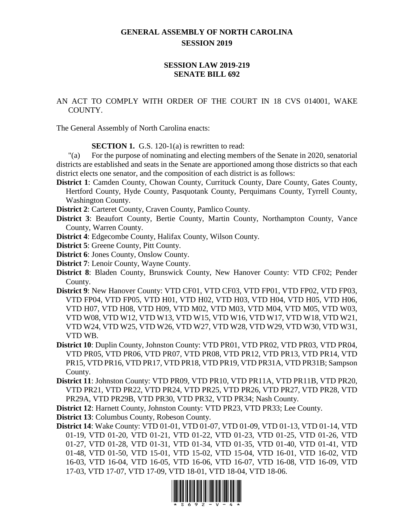## **GENERAL ASSEMBLY OF NORTH CAROLINA SESSION 2019**

## **SESSION LAW 2019-219 SENATE BILL 692**

AN ACT TO COMPLY WITH ORDER OF THE COURT IN 18 CVS 014001, WAKE COUNTY.

The General Assembly of North Carolina enacts:

**SECTION 1.** G.S. 120-1(a) is rewritten to read:

"(a) For the purpose of nominating and electing members of the Senate in 2020, senatorial districts are established and seats in the Senate are apportioned among those districts so that each district elects one senator, and the composition of each district is as follows:

- **District 1**: Camden County, Chowan County, Currituck County, Dare County, Gates County, Hertford County, Hyde County, Pasquotank County, Perquimans County, Tyrrell County, Washington County.
- **District 2**: Carteret County, Craven County, Pamlico County.
- **District 3**: Beaufort County, Bertie County, Martin County, Northampton County, Vance County, Warren County.
- **District 4**: Edgecombe County, Halifax County, Wilson County.
- **District 5**: Greene County, Pitt County.
- **District 6**: Jones County, Onslow County.
- **District 7**: Lenoir County, Wayne County.
- **District 8**: Bladen County, Brunswick County, New Hanover County: VTD CF02; Pender County.
- **District 9**: New Hanover County: VTD CF01, VTD CF03, VTD FP01, VTD FP02, VTD FP03, VTD FP04, VTD FP05, VTD H01, VTD H02, VTD H03, VTD H04, VTD H05, VTD H06, VTD H07, VTD H08, VTD H09, VTD M02, VTD M03, VTD M04, VTD M05, VTD W03, VTD W08, VTD W12, VTD W13, VTD W15, VTD W16, VTD W17, VTD W18, VTD W21, VTD W24, VTD W25, VTD W26, VTD W27, VTD W28, VTD W29, VTD W30, VTD W31, VTD WB.
- **District 10**: Duplin County, Johnston County: VTD PR01, VTD PR02, VTD PR03, VTD PR04, VTD PR05, VTD PR06, VTD PR07, VTD PR08, VTD PR12, VTD PR13, VTD PR14, VTD PR15, VTD PR16, VTD PR17, VTD PR18, VTD PR19, VTD PR31A, VTD PR31B; Sampson County.
- **District 11**: Johnston County: VTD PR09, VTD PR10, VTD PR11A, VTD PR11B, VTD PR20, VTD PR21, VTD PR22, VTD PR24, VTD PR25, VTD PR26, VTD PR27, VTD PR28, VTD PR29A, VTD PR29B, VTD PR30, VTD PR32, VTD PR34; Nash County.

**District 12**: Harnett County, Johnston County: VTD PR23, VTD PR33; Lee County.

**District 13**: Columbus County, Robeson County.

**District 14**: Wake County: VTD 01-01, VTD 01-07, VTD 01-09, VTD 01-13, VTD 01-14, VTD 01-19, VTD 01-20, VTD 01-21, VTD 01-22, VTD 01-23, VTD 01-25, VTD 01-26, VTD 01-27, VTD 01-28, VTD 01-31, VTD 01-34, VTD 01-35, VTD 01-40, VTD 01-41, VTD 01-48, VTD 01-50, VTD 15-01, VTD 15-02, VTD 15-04, VTD 16-01, VTD 16-02, VTD 16-03, VTD 16-04, VTD 16-05, VTD 16-06, VTD 16-07, VTD 16-08, VTD 16-09, VTD 17-03, VTD 17-07, VTD 17-09, VTD 18-01, VTD 18-04, VTD 18-06.

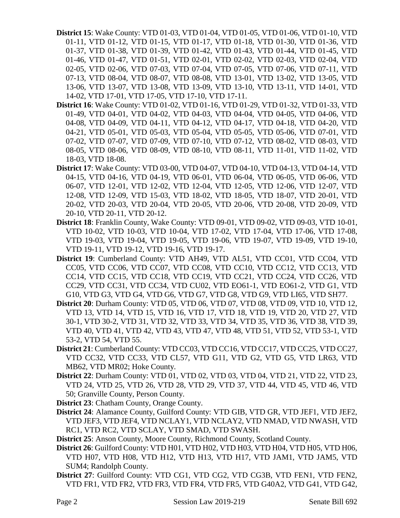- **District 15**: Wake County: VTD 01-03, VTD 01-04, VTD 01-05, VTD 01-06, VTD 01-10, VTD 01-11, VTD 01-12, VTD 01-15, VTD 01-17, VTD 01-18, VTD 01-30, VTD 01-36, VTD 01-37, VTD 01-38, VTD 01-39, VTD 01-42, VTD 01-43, VTD 01-44, VTD 01-45, VTD 01-46, VTD 01-47, VTD 01-51, VTD 02-01, VTD 02-02, VTD 02-03, VTD 02-04, VTD 02-05, VTD 02-06, VTD 07-03, VTD 07-04, VTD 07-05, VTD 07-06, VTD 07-11, VTD 07-13, VTD 08-04, VTD 08-07, VTD 08-08, VTD 13-01, VTD 13-02, VTD 13-05, VTD 13-06, VTD 13-07, VTD 13-08, VTD 13-09, VTD 13-10, VTD 13-11, VTD 14-01, VTD 14-02, VTD 17-01, VTD 17-05, VTD 17-10, VTD 17-11.
- **District 16**: Wake County: VTD 01-02, VTD 01-16, VTD 01-29, VTD 01-32, VTD 01-33, VTD 01-49, VTD 04-01, VTD 04-02, VTD 04-03, VTD 04-04, VTD 04-05, VTD 04-06, VTD 04-08, VTD 04-09, VTD 04-11, VTD 04-12, VTD 04-17, VTD 04-18, VTD 04-20, VTD 04-21, VTD 05-01, VTD 05-03, VTD 05-04, VTD 05-05, VTD 05-06, VTD 07-01, VTD 07-02, VTD 07-07, VTD 07-09, VTD 07-10, VTD 07-12, VTD 08-02, VTD 08-03, VTD 08-05, VTD 08-06, VTD 08-09, VTD 08-10, VTD 08-11, VTD 11-01, VTD 11-02, VTD 18-03, VTD 18-08.
- **District 17**: Wake County: VTD 03-00, VTD 04-07, VTD 04-10, VTD 04-13, VTD 04-14, VTD 04-15, VTD 04-16, VTD 04-19, VTD 06-01, VTD 06-04, VTD 06-05, VTD 06-06, VTD 06-07, VTD 12-01, VTD 12-02, VTD 12-04, VTD 12-05, VTD 12-06, VTD 12-07, VTD 12-08, VTD 12-09, VTD 15-03, VTD 18-02, VTD 18-05, VTD 18-07, VTD 20-01, VTD 20-02, VTD 20-03, VTD 20-04, VTD 20-05, VTD 20-06, VTD 20-08, VTD 20-09, VTD 20-10, VTD 20-11, VTD 20-12.
- **District 18**: Franklin County, Wake County: VTD 09-01, VTD 09-02, VTD 09-03, VTD 10-01, VTD 10-02, VTD 10-03, VTD 10-04, VTD 17-02, VTD 17-04, VTD 17-06, VTD 17-08, VTD 19-03, VTD 19-04, VTD 19-05, VTD 19-06, VTD 19-07, VTD 19-09, VTD 19-10, VTD 19-11, VTD 19-12, VTD 19-16, VTD 19-17.
- **District 19**: Cumberland County: VTD AH49, VTD AL51, VTD CC01, VTD CC04, VTD CC05, VTD CC06, VTD CC07, VTD CC08, VTD CC10, VTD CC12, VTD CC13, VTD CC14, VTD CC15, VTD CC18, VTD CC19, VTD CC21, VTD CC24, VTD CC26, VTD CC29, VTD CC31, VTD CC34, VTD CU02, VTD EO61-1, VTD EO61-2, VTD G1, VTD G10, VTD G3, VTD G4, VTD G6, VTD G7, VTD G8, VTD G9, VTD LI65, VTD SH77.
- **District 20**: Durham County: VTD 05, VTD 06, VTD 07, VTD 08, VTD 09, VTD 10, VTD 12, VTD 13, VTD 14, VTD 15, VTD 16, VTD 17, VTD 18, VTD 19, VTD 20, VTD 27, VTD 30-1, VTD 30-2, VTD 31, VTD 32, VTD 33, VTD 34, VTD 35, VTD 36, VTD 38, VTD 39, VTD 40, VTD 41, VTD 42, VTD 43, VTD 47, VTD 48, VTD 51, VTD 52, VTD 53-1, VTD 53-2, VTD 54, VTD 55.
- **District 21**: Cumberland County: VTD CC03, VTD CC16, VTD CC17, VTD CC25, VTD CC27, VTD CC32, VTD CC33, VTD CL57, VTD G11, VTD G2, VTD G5, VTD LR63, VTD MB62, VTD MR02; Hoke County.
- **District 22**: Durham County: VTD 01, VTD 02, VTD 03, VTD 04, VTD 21, VTD 22, VTD 23, VTD 24, VTD 25, VTD 26, VTD 28, VTD 29, VTD 37, VTD 44, VTD 45, VTD 46, VTD 50; Granville County, Person County.
- **District 23**: Chatham County, Orange County.
- **District 24**: Alamance County, Guilford County: VTD GIB, VTD GR, VTD JEF1, VTD JEF2, VTD JEF3, VTD JEF4, VTD NCLAY1, VTD NCLAY2, VTD NMAD, VTD NWASH, VTD RC1, VTD RC2, VTD SCLAY, VTD SMAD, VTD SWASH.
- **District 25**: Anson County, Moore County, Richmond County, Scotland County.
- **District 26**: Guilford County: VTD H01, VTD H02, VTD H03, VTD H04, VTD H05, VTD H06, VTD H07, VTD H08, VTD H12, VTD H13, VTD H17, VTD JAM1, VTD JAM5, VTD SUM4; Randolph County.
- **District 27**: Guilford County: VTD CG1, VTD CG2, VTD CG3B, VTD FEN1, VTD FEN2, VTD FR1, VTD FR2, VTD FR3, VTD FR4, VTD FR5, VTD G40A2, VTD G41, VTD G42,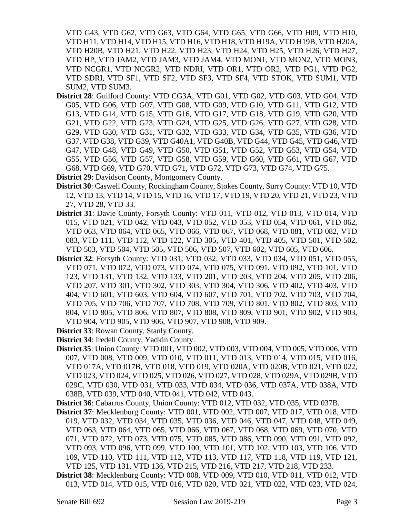VTD G43, VTD G62, VTD G63, VTD G64, VTD G65, VTD G66, VTD H09, VTD H10, VTD H11, VTD H14, VTD H15, VTD H16, VTD H18, VTD H19A, VTD H19B, VTD H20A, VTD H20B, VTD H21, VTD H22, VTD H23, VTD H24, VTD H25, VTD H26, VTD H27, VTD HP, VTD JAM2, VTD JAM3, VTD JAM4, VTD MON1, VTD MON2, VTD MON3, VTD NCGR1, VTD NCGR2, VTD NDRI, VTD OR1, VTD OR2, VTD PG1, VTD PG2, VTD SDRI, VTD SF1, VTD SF2, VTD SF3, VTD SF4, VTD STOK, VTD SUM1, VTD SUM2, VTD SUM3.

**District 28**: Guilford County: VTD CG3A, VTD G01, VTD G02, VTD G03, VTD G04, VTD G05, VTD G06, VTD G07, VTD G08, VTD G09, VTD G10, VTD G11, VTD G12, VTD G13, VTD G14, VTD G15, VTD G16, VTD G17, VTD G18, VTD G19, VTD G20, VTD G21, VTD G22, VTD G23, VTD G24, VTD G25, VTD G26, VTD G27, VTD G28, VTD G29, VTD G30, VTD G31, VTD G32, VTD G33, VTD G34, VTD G35, VTD G36, VTD G37, VTD G38, VTD G39, VTD G40A1, VTD G40B, VTD G44, VTD G45, VTD G46, VTD G47, VTD G48, VTD G49, VTD G50, VTD G51, VTD G52, VTD G53, VTD G54, VTD G55, VTD G56, VTD G57, VTD G58, VTD G59, VTD G60, VTD G61, VTD G67, VTD G68, VTD G69, VTD G70, VTD G71, VTD G72, VTD G73, VTD G74, VTD G75.

**District 29**: Davidson County, Montgomery County.

- **District 30**: Caswell County, Rockingham County, Stokes County, Surry County: VTD 10, VTD 12, VTD 13, VTD 14, VTD 15, VTD 16, VTD 17, VTD 19, VTD 20, VTD 21, VTD 23, VTD 27, VTD 28, VTD 33.
- **District 31**: Davie County, Forsyth County: VTD 011, VTD 012, VTD 013, VTD 014, VTD 015, VTD 021, VTD 042, VTD 043, VTD 052, VTD 053, VTD 054, VTD 061, VTD 062, VTD 063, VTD 064, VTD 065, VTD 066, VTD 067, VTD 068, VTD 081, VTD 082, VTD 083, VTD 111, VTD 112, VTD 122, VTD 305, VTD 401, VTD 405, VTD 501, VTD 502, VTD 503, VTD 504, VTD 505, VTD 506, VTD 507, VTD 602, VTD 605, VTD 606.
- **District 32**: Forsyth County: VTD 031, VTD 032, VTD 033, VTD 034, VTD 051, VTD 055, VTD 071, VTD 072, VTD 073, VTD 074, VTD 075, VTD 091, VTD 092, VTD 101, VTD 123, VTD 131, VTD 132, VTD 133, VTD 201, VTD 203, VTD 204, VTD 205, VTD 206, VTD 207, VTD 301, VTD 302, VTD 303, VTD 304, VTD 306, VTD 402, VTD 403, VTD 404, VTD 601, VTD 603, VTD 604, VTD 607, VTD 701, VTD 702, VTD 703, VTD 704, VTD 705, VTD 706, VTD 707, VTD 708, VTD 709, VTD 801, VTD 802, VTD 803, VTD 804, VTD 805, VTD 806, VTD 807, VTD 808, VTD 809, VTD 901, VTD 902, VTD 903, VTD 904, VTD 905, VTD 906, VTD 907, VTD 908, VTD 909.
- **District 33**: Rowan County, Stanly County.
- **District 34**: Iredell County, Yadkin County.
- **District 35**: Union County: VTD 001, VTD 002, VTD 003, VTD 004, VTD 005, VTD 006, VTD 007, VTD 008, VTD 009, VTD 010, VTD 011, VTD 013, VTD 014, VTD 015, VTD 016, VTD 017A, VTD 017B, VTD 018, VTD 019, VTD 020A, VTD 020B, VTD 021, VTD 022, VTD 023, VTD 024, VTD 025, VTD 026, VTD 027, VTD 028, VTD 029A, VTD 029B, VTD 029C, VTD 030, VTD 031, VTD 033, VTD 034, VTD 036, VTD 037A, VTD 038A, VTD 038B, VTD 039, VTD 040, VTD 041, VTD 042, VTD 043.
- **District 36**: Cabarrus County, Union County: VTD 012, VTD 032, VTD 035, VTD 037B.
- **District 37**: Mecklenburg County: VTD 001, VTD 002, VTD 007, VTD 017, VTD 018, VTD 019, VTD 032, VTD 034, VTD 035, VTD 036, VTD 046, VTD 047, VTD 048, VTD 049, VTD 063, VTD 064, VTD 065, VTD 066, VTD 067, VTD 068, VTD 069, VTD 070, VTD 071, VTD 072, VTD 073, VTD 075, VTD 085, VTD 086, VTD 090, VTD 091, VTD 092, VTD 093, VTD 096, VTD 099, VTD 100, VTD 101, VTD 102, VTD 103, VTD 106, VTD 109, VTD 110, VTD 111, VTD 112, VTD 113, VTD 117, VTD 118, VTD 119, VTD 121, VTD 125, VTD 131, VTD 136, VTD 215, VTD 216, VTD 217, VTD 218, VTD 233.
- **District 38**: Mecklenburg County: VTD 008, VTD 009, VTD 010, VTD 011, VTD 012, VTD 013, VTD 014, VTD 015, VTD 016, VTD 020, VTD 021, VTD 022, VTD 023, VTD 024,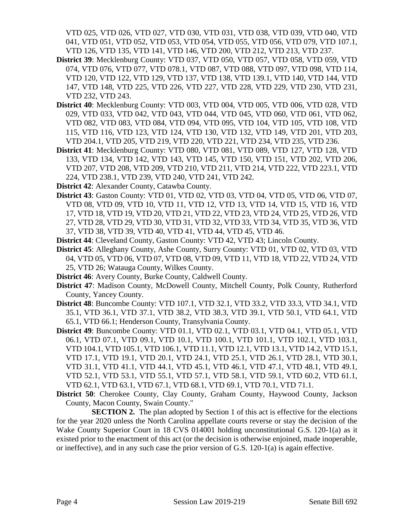VTD 025, VTD 026, VTD 027, VTD 030, VTD 031, VTD 038, VTD 039, VTD 040, VTD 041, VTD 051, VTD 052, VTD 053, VTD 054, VTD 055, VTD 056, VTD 079, VTD 107.1, VTD 126, VTD 135, VTD 141, VTD 146, VTD 200, VTD 212, VTD 213, VTD 237.

- **District 39**: Mecklenburg County: VTD 037, VTD 050, VTD 057, VTD 058, VTD 059, VTD 074, VTD 076, VTD 077, VTD 078.1, VTD 087, VTD 088, VTD 097, VTD 098, VTD 114, VTD 120, VTD 122, VTD 129, VTD 137, VTD 138, VTD 139.1, VTD 140, VTD 144, VTD 147, VTD 148, VTD 225, VTD 226, VTD 227, VTD 228, VTD 229, VTD 230, VTD 231, VTD 232, VTD 243.
- **District 40**: Mecklenburg County: VTD 003, VTD 004, VTD 005, VTD 006, VTD 028, VTD 029, VTD 033, VTD 042, VTD 043, VTD 044, VTD 045, VTD 060, VTD 061, VTD 062, VTD 082, VTD 083, VTD 084, VTD 094, VTD 095, VTD 104, VTD 105, VTD 108, VTD 115, VTD 116, VTD 123, VTD 124, VTD 130, VTD 132, VTD 149, VTD 201, VTD 203, VTD 204.1, VTD 205, VTD 219, VTD 220, VTD 221, VTD 234, VTD 235, VTD 236.
- **District 41**: Mecklenburg County: VTD 080, VTD 081, VTD 089, VTD 127, VTD 128, VTD 133, VTD 134, VTD 142, VTD 143, VTD 145, VTD 150, VTD 151, VTD 202, VTD 206, VTD 207, VTD 208, VTD 209, VTD 210, VTD 211, VTD 214, VTD 222, VTD 223.1, VTD 224, VTD 238.1, VTD 239, VTD 240, VTD 241, VTD 242.
- **District 42**: Alexander County, Catawba County.
- **District 43**: Gaston County: VTD 01, VTD 02, VTD 03, VTD 04, VTD 05, VTD 06, VTD 07, VTD 08, VTD 09, VTD 10, VTD 11, VTD 12, VTD 13, VTD 14, VTD 15, VTD 16, VTD 17, VTD 18, VTD 19, VTD 20, VTD 21, VTD 22, VTD 23, VTD 24, VTD 25, VTD 26, VTD 27, VTD 28, VTD 29, VTD 30, VTD 31, VTD 32, VTD 33, VTD 34, VTD 35, VTD 36, VTD 37, VTD 38, VTD 39, VTD 40, VTD 41, VTD 44, VTD 45, VTD 46.
- **District 44**: Cleveland County, Gaston County: VTD 42, VTD 43; Lincoln County.
- **District 45**: Alleghany County, Ashe County, Surry County: VTD 01, VTD 02, VTD 03, VTD 04, VTD 05, VTD 06, VTD 07, VTD 08, VTD 09, VTD 11, VTD 18, VTD 22, VTD 24, VTD 25, VTD 26; Watauga County, Wilkes County.
- **District 46**: Avery County, Burke County, Caldwell County.
- **District 47**: Madison County, McDowell County, Mitchell County, Polk County, Rutherford County, Yancey County.
- **District 48**: Buncombe County: VTD 107.1, VTD 32.1, VTD 33.2, VTD 33.3, VTD 34.1, VTD 35.1, VTD 36.1, VTD 37.1, VTD 38.2, VTD 38.3, VTD 39.1, VTD 50.1, VTD 64.1, VTD 65.1, VTD 66.1; Henderson County, Transylvania County.
- **District 49**: Buncombe County: VTD 01.1, VTD 02.1, VTD 03.1, VTD 04.1, VTD 05.1, VTD 06.1, VTD 07.1, VTD 09.1, VTD 10.1, VTD 100.1, VTD 101.1, VTD 102.1, VTD 103.1, VTD 104.1, VTD 105.1, VTD 106.1, VTD 11.1, VTD 12.1, VTD 13.1, VTD 14.2, VTD 15.1, VTD 17.1, VTD 19.1, VTD 20.1, VTD 24.1, VTD 25.1, VTD 26.1, VTD 28.1, VTD 30.1, VTD 31.1, VTD 41.1, VTD 44.1, VTD 45.1, VTD 46.1, VTD 47.1, VTD 48.1, VTD 49.1, VTD 52.1, VTD 53.1, VTD 55.1, VTD 57.1, VTD 58.1, VTD 59.1, VTD 60.2, VTD 61.1, VTD 62.1, VTD 63.1, VTD 67.1, VTD 68.1, VTD 69.1, VTD 70.1, VTD 71.1.
- **District 50**: Cherokee County, Clay County, Graham County, Haywood County, Jackson County, Macon County, Swain County."

**SECTION 2.** The plan adopted by Section 1 of this act is effective for the elections for the year 2020 unless the North Carolina appellate courts reverse or stay the decision of the Wake County Superior Court in 18 CVS 014001 holding unconstitutional G.S. 120-1(a) as it existed prior to the enactment of this act (or the decision is otherwise enjoined, made inoperable, or ineffective), and in any such case the prior version of G.S.  $120-1(a)$  is again effective.